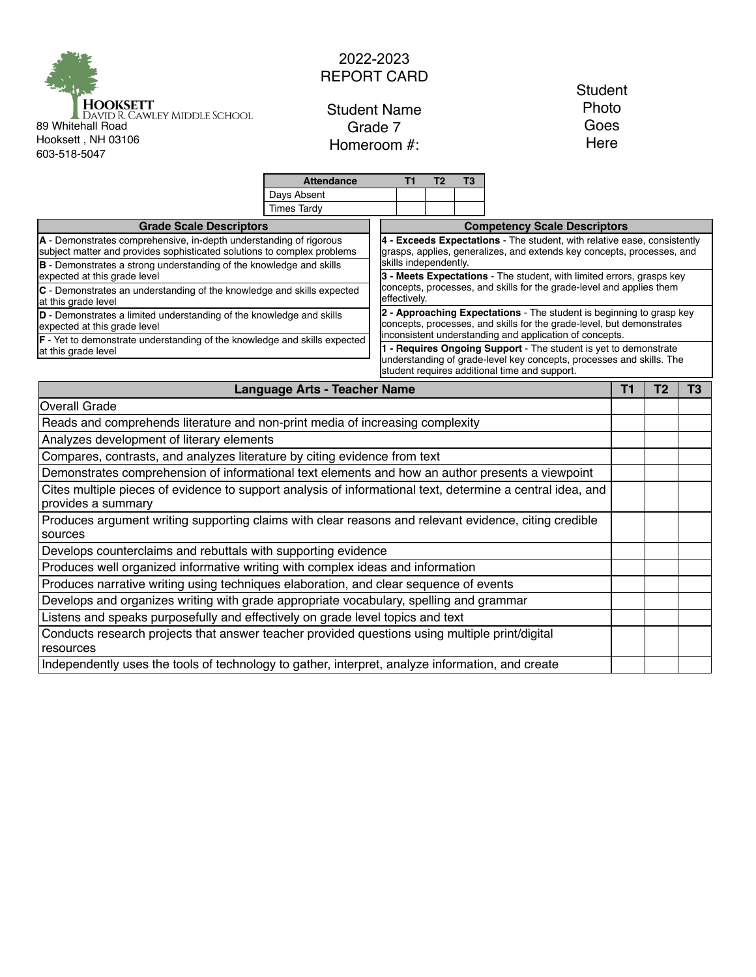

## 2022-2023 REPORT CARD

Student Name Grade 7 Homeroom #:

**Student** Photo Goes Here

|                                                                                                                                                                                                                                                       | <b>Attendance</b>  | Τ1                                                                                              | T2                                                                       | T3 |                                                                                                                             |  |                |                |  |  |
|-------------------------------------------------------------------------------------------------------------------------------------------------------------------------------------------------------------------------------------------------------|--------------------|-------------------------------------------------------------------------------------------------|--------------------------------------------------------------------------|----|-----------------------------------------------------------------------------------------------------------------------------|--|----------------|----------------|--|--|
|                                                                                                                                                                                                                                                       | Days Absent        |                                                                                                 |                                                                          |    |                                                                                                                             |  |                |                |  |  |
|                                                                                                                                                                                                                                                       | <b>Times Tardy</b> |                                                                                                 |                                                                          |    |                                                                                                                             |  |                |                |  |  |
| <b>Grade Scale Descriptors</b>                                                                                                                                                                                                                        |                    |                                                                                                 |                                                                          |    | <b>Competency Scale Descriptors</b>                                                                                         |  |                |                |  |  |
| A - Demonstrates comprehensive, in-depth understanding of rigorous                                                                                                                                                                                    |                    |                                                                                                 | 4 - Exceeds Expectations - The student, with relative ease, consistently |    |                                                                                                                             |  |                |                |  |  |
| subject matter and provides sophisticated solutions to complex problems                                                                                                                                                                               |                    | grasps, applies, generalizes, and extends key concepts, processes, and<br>skills independently. |                                                                          |    |                                                                                                                             |  |                |                |  |  |
| B - Demonstrates a strong understanding of the knowledge and skills<br>expected at this grade level                                                                                                                                                   |                    |                                                                                                 | 3 - Meets Expectations - The student, with limited errors, grasps key    |    |                                                                                                                             |  |                |                |  |  |
| concepts, processes, and skills for the grade-level and applies them<br>C - Demonstrates an understanding of the knowledge and skills expected<br>effectively.<br>at this grade level                                                                 |                    |                                                                                                 |                                                                          |    |                                                                                                                             |  |                |                |  |  |
| 2 - Approaching Expectations - The student is beginning to grasp key<br>D - Demonstrates a limited understanding of the knowledge and skills<br>concepts, processes, and skills for the grade-level, but demonstrates<br>expected at this grade level |                    |                                                                                                 |                                                                          |    |                                                                                                                             |  |                |                |  |  |
| F - Yet to demonstrate understanding of the knowledge and skills expected                                                                                                                                                                             |                    |                                                                                                 |                                                                          |    | inconsistent understanding and application of concepts.<br>1 - Requires Ongoing Support - The student is yet to demonstrate |  |                |                |  |  |
| at this grade level                                                                                                                                                                                                                                   |                    |                                                                                                 |                                                                          |    | understanding of grade-level key concepts, processes and skills. The                                                        |  |                |                |  |  |
| student requires additional time and support.                                                                                                                                                                                                         |                    |                                                                                                 |                                                                          |    |                                                                                                                             |  |                |                |  |  |
| <b>Language Arts - Teacher Name</b>                                                                                                                                                                                                                   |                    |                                                                                                 |                                                                          |    |                                                                                                                             |  | T <sub>2</sub> | T <sub>3</sub> |  |  |
| <b>Overall Grade</b>                                                                                                                                                                                                                                  |                    |                                                                                                 |                                                                          |    |                                                                                                                             |  |                |                |  |  |
| Reads and comprehends literature and non-print media of increasing complexity                                                                                                                                                                         |                    |                                                                                                 |                                                                          |    |                                                                                                                             |  |                |                |  |  |
| Analyzes development of literary elements                                                                                                                                                                                                             |                    |                                                                                                 |                                                                          |    |                                                                                                                             |  |                |                |  |  |
| Compares, contrasts, and analyzes literature by citing evidence from text                                                                                                                                                                             |                    |                                                                                                 |                                                                          |    |                                                                                                                             |  |                |                |  |  |
| Demonstrates comprehension of informational text elements and how an author presents a viewpoint                                                                                                                                                      |                    |                                                                                                 |                                                                          |    |                                                                                                                             |  |                |                |  |  |
| Cites multiple pieces of evidence to support analysis of informational text, determine a central idea, and<br>provides a summary                                                                                                                      |                    |                                                                                                 |                                                                          |    |                                                                                                                             |  |                |                |  |  |
| Produces argument writing supporting claims with clear reasons and relevant evidence, citing credible<br>sources                                                                                                                                      |                    |                                                                                                 |                                                                          |    |                                                                                                                             |  |                |                |  |  |
| Develops counterclaims and rebuttals with supporting evidence                                                                                                                                                                                         |                    |                                                                                                 |                                                                          |    |                                                                                                                             |  |                |                |  |  |
| Produces well organized informative writing with complex ideas and information                                                                                                                                                                        |                    |                                                                                                 |                                                                          |    |                                                                                                                             |  |                |                |  |  |
| Produces narrative writing using techniques elaboration, and clear sequence of events                                                                                                                                                                 |                    |                                                                                                 |                                                                          |    |                                                                                                                             |  |                |                |  |  |
| Develops and organizes writing with grade appropriate vocabulary, spelling and grammar                                                                                                                                                                |                    |                                                                                                 |                                                                          |    |                                                                                                                             |  |                |                |  |  |
| Listens and speaks purposefully and effectively on grade level topics and text                                                                                                                                                                        |                    |                                                                                                 |                                                                          |    |                                                                                                                             |  |                |                |  |  |
| Conducts research projects that answer teacher provided questions using multiple print/digital<br>resources                                                                                                                                           |                    |                                                                                                 |                                                                          |    |                                                                                                                             |  |                |                |  |  |
| Independently uses the tools of technology to gather, interpret, analyze information, and create                                                                                                                                                      |                    |                                                                                                 |                                                                          |    |                                                                                                                             |  |                |                |  |  |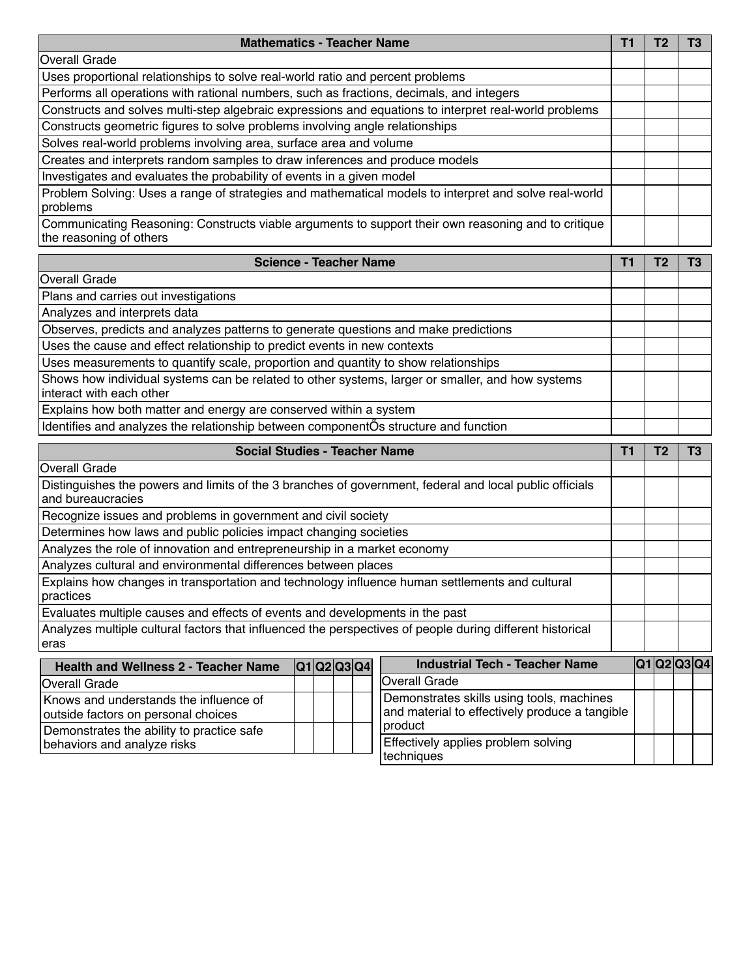| <b>Mathematics - Teacher Name</b>                                                                                              | ш |  |
|--------------------------------------------------------------------------------------------------------------------------------|---|--|
| Overall Grade                                                                                                                  |   |  |
| Uses proportional relationships to solve real-world ratio and percent problems                                                 |   |  |
| Performs all operations with rational numbers, such as fractions, decimals, and integers                                       |   |  |
| Constructs and solves multi-step algebraic expressions and equations to interpret real-world problems                          |   |  |
| Constructs geometric figures to solve problems involving angle relationships                                                   |   |  |
| Solves real-world problems involving area, surface area and volume                                                             |   |  |
| Creates and interprets random samples to draw inferences and produce models                                                    |   |  |
| Investigates and evaluates the probability of events in a given model                                                          |   |  |
| Problem Solving: Uses a range of strategies and mathematical models to interpret and solve real-world<br>problems              |   |  |
| Communicating Reasoning: Constructs viable arguments to support their own reasoning and to critique<br>the reasoning of others |   |  |

| <b>Science - Teacher Name</b>                                                                                                |  |  |  |  |  |
|------------------------------------------------------------------------------------------------------------------------------|--|--|--|--|--|
| <b>Overall Grade</b>                                                                                                         |  |  |  |  |  |
| Plans and carries out investigations                                                                                         |  |  |  |  |  |
| Analyzes and interprets data                                                                                                 |  |  |  |  |  |
| Observes, predicts and analyzes patterns to generate questions and make predictions                                          |  |  |  |  |  |
| Uses the cause and effect relationship to predict events in new contexts                                                     |  |  |  |  |  |
| Uses measurements to quantify scale, proportion and quantity to show relationships                                           |  |  |  |  |  |
| Shows how individual systems can be related to other systems, larger or smaller, and how systems<br>interact with each other |  |  |  |  |  |
| Explains how both matter and energy are conserved within a system                                                            |  |  |  |  |  |
| Identifies and analyzes the relationship between componentOs structure and function                                          |  |  |  |  |  |

| Social Studies - Teacher Name<br>Τ1                                                                                          |  |  |  |             |                                                                                             |  |             | Τ3 |  |
|------------------------------------------------------------------------------------------------------------------------------|--|--|--|-------------|---------------------------------------------------------------------------------------------|--|-------------|----|--|
| Overall Grade                                                                                                                |  |  |  |             |                                                                                             |  |             |    |  |
| Distinguishes the powers and limits of the 3 branches of government, federal and local public officials<br>and bureaucracies |  |  |  |             |                                                                                             |  |             |    |  |
| Recognize issues and problems in government and civil society                                                                |  |  |  |             |                                                                                             |  |             |    |  |
| Determines how laws and public policies impact changing societies                                                            |  |  |  |             |                                                                                             |  |             |    |  |
| Analyzes the role of innovation and entrepreneurship in a market economy                                                     |  |  |  |             |                                                                                             |  |             |    |  |
| Analyzes cultural and environmental differences between places                                                               |  |  |  |             |                                                                                             |  |             |    |  |
| Explains how changes in transportation and technology influence human settlements and cultural<br>practices                  |  |  |  |             |                                                                                             |  |             |    |  |
| Evaluates multiple causes and effects of events and developments in the past                                                 |  |  |  |             |                                                                                             |  |             |    |  |
| Analyzes multiple cultural factors that influenced the perspectives of people during different historical<br>eras            |  |  |  |             |                                                                                             |  |             |    |  |
| <b>Health and Wellness 2 - Teacher Name</b>                                                                                  |  |  |  | Q1 Q2 Q3 Q4 | <b>Industrial Tech - Teacher Name</b>                                                       |  | Q1 Q2 Q3 Q4 |    |  |
| <b>Overall Grade</b>                                                                                                         |  |  |  |             | Overall Grade                                                                               |  |             |    |  |
| Knows and understands the influence of<br>outside factors on personal choices                                                |  |  |  |             | Demonstrates skills using tools, machines<br>and material to effectively produce a tangible |  |             |    |  |
| Demonstrates the ability to practice safe                                                                                    |  |  |  |             | product                                                                                     |  |             |    |  |

Demonstrates the ability to practice safe

behaviors and analyze risks

Effectively applies problem solving

techniques